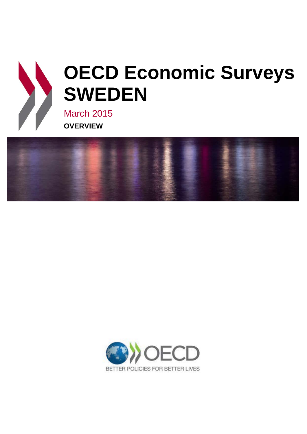



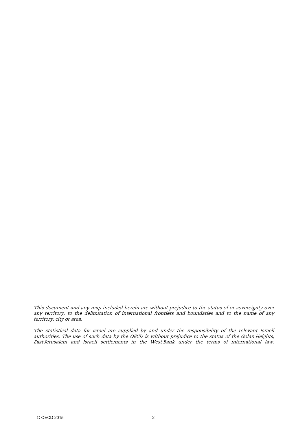This document and any map included herein are without prejudice to the status of or sovereignty over any territory, to the delimitation of international frontiers and boundaries and to the name of any territory, city or area.

The statistical data for Israel are supplied by and under the responsibility of the relevant Israeli authorities. The use of such data by the OECD is without prejudice to the status of the Golan Heights, East Jerusalem and Israeli settlements in the West Bank under the terms of international law.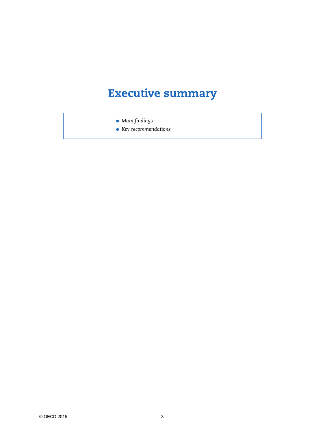# **Executive summary**

● *Main findings*

● *Key recommendations*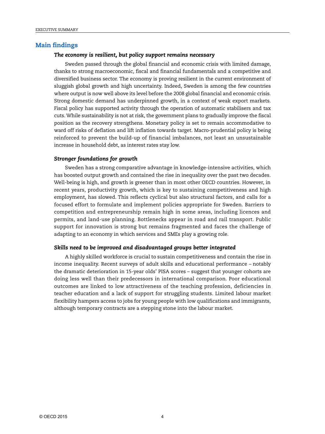## **Main findings**

### *The economy is resilient, but policy support remains necessary*

Sweden passed through the global financial and economic crisis with limited damage, thanks to strong macroeconomic, fiscal and financial fundamentals and a competitive and diversified business sector. The economy is proving resilient in the current environment of sluggish global growth and high uncertainty. Indeed, Sweden is among the few countries where output is now well above its level before the 2008 global financial and economic crisis. Strong domestic demand has underpinned growth, in a context of weak export markets. Fiscal policy has supported activity through the operation of automatic stabilisers and tax cuts. While sustainability is not at risk, the government plans to gradually improve the fiscal position as the recovery strengthens. Monetary policy is set to remain accommodative to ward off risks of deflation and lift inflation towards target. Macro-prudential policy is being reinforced to prevent the build-up of financial imbalances, not least an unsustainable increase in household debt, as interest rates stay low.

#### *Stronger foundations for growth*

Sweden has a strong comparative advantage in knowledge-intensive activities, which has boosted output growth and contained the rise in inequality over the past two decades. Well-being is high, and growth is greener than in most other OECD countries. However, in recent years, productivity growth, which is key to sustaining competitiveness and high employment, has slowed. This reflects cyclical but also structural factors, and calls for a focused effort to formulate and implement policies appropriate for Sweden. Barriers to competition and entrepreneurship remain high in some areas, including licences and permits, and land-use planning. Bottlenecks appear in road and rail transport. Public support for innovation is strong but remains fragmented and faces the challenge of adapting to an economy in which services and SMEs play a growing role.

#### *Skills need to be improved and disadvantaged groups better integrated*

A highly skilled workforce is crucial to sustain competitiveness and contain the rise in income inequality. Recent surveys of adult skills and educational performance – notably the dramatic deterioration in 15-year olds' PISA scores – suggest that younger cohorts are doing less well than their predecessors in international comparison. Poor educational outcomes are linked to low attractiveness of the teaching profession, deficiencies in teacher education and a lack of support for struggling students. Limited labour market flexibility hampers access to jobs for young people with low qualifications and immigrants, although temporary contracts are a stepping stone into the labour market.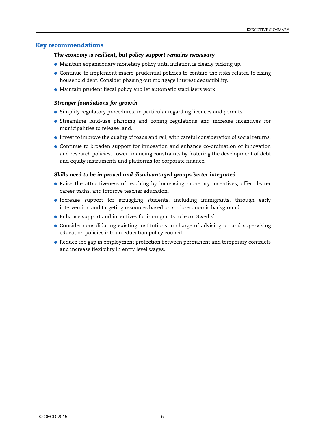# **Key recommendations**

### *The economy is resilient, but policy support remains necessary*

- Maintain expansionary monetary policy until inflation is clearly picking up.
- Continue to implement macro-prudential policies to contain the risks related to rising household debt. Consider phasing out mortgage interest deductibility.
- Maintain prudent fiscal policy and let automatic stabilisers work.

#### *Stronger foundations for growth*

- Simplify regulatory procedures, in particular regarding licences and permits.
- Streamline land-use planning and zoning regulations and increase incentives for municipalities to release land.
- Invest to improve the quality of roads and rail, with careful consideration of social returns.
- Continue to broaden support for innovation and enhance co-ordination of innovation and research policies. Lower financing constraints by fostering the development of debt and equity instruments and platforms for corporate finance.

#### *Skills need to be improved and disadvantaged groups better integrated*

- Raise the attractiveness of teaching by increasing monetary incentives, offer clearer career paths, and improve teacher education.
- Increase support for struggling students, including immigrants, through early intervention and targeting resources based on socio-economic background.
- Enhance support and incentives for immigrants to learn Swedish.
- Consider consolidating existing institutions in charge of advising on and supervising education policies into an education policy council.
- Reduce the gap in employment protection between permanent and temporary contracts and increase flexibility in entry level wages.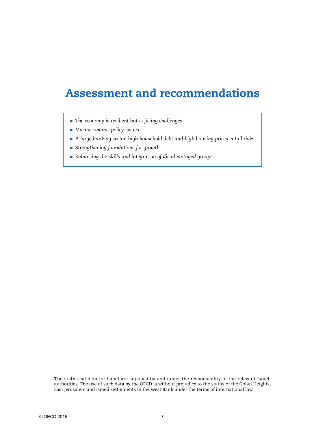# **Assessment and recommendations**

- *The economy is resilient but is facing challenges*
- *Macroeconomic policy issues*
- *A large banking sector, high household debt and high housing prices entail risks*
- *Strengthening foundations for growth*
- *Enhancing the skills and integration of disadvantaged groups*

The statistical data for Israel are supplied by and under the responsibility of the relevant Israeli authorities. The use of such data by the OECD is without prejudice to the status of the Golan Heights, East Jerusalem and Israeli settlements in the West Bank under the terms of international law.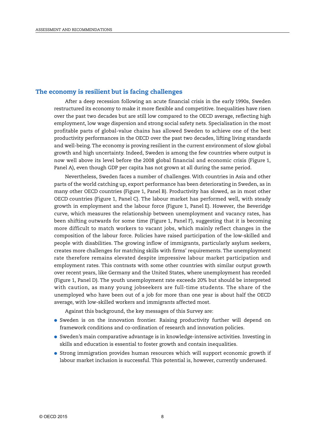## **The economy is resilient but is facing challenges**

After a deep recession following an acute financial crisis in the early 1990s, Sweden restructured its economy to make it more flexible and competitive. Inequalities have risen over the past two decades but are still low compared to the OECD average, reflecting high employment, low wage dispersion and strong social safety nets. Specialisation in the most profitable parts of global-value chains has allowed Sweden to achieve one of the best productivity performances in the OECD over the past two decades, lifting living standards and well-being. The economy is proving resilient in the current environment of slow global growth and high uncertainty. Indeed, Sweden is among the few countries where output is now well above its level before the 2008 global financial and economic crisis (Figure 1, Panel A), even though GDP per capita has not grown at all during the same period.

Nevertheless, Sweden faces a number of challenges. With countries in Asia and other parts of the world catching up, export performance has been deteriorating in Sweden, as in many other OECD countries (Figure 1, Panel B). Productivity has slowed, as in most other OECD countries (Figure 1, Panel C). The labour market has performed well, with steady growth in employment and the labour force (Figure 1, Panel E). However, the Beveridge curve, which measures the relationship between unemployment and vacancy rates, has been shifting outwards for some time (Figure 1, Panel F), suggesting that it is becoming more difficult to match workers to vacant jobs, which mainly reflect changes in the composition of the labour force. Policies have raised participation of the low-skilled and people with disabilities. The growing inflow of immigrants, particularly asylum seekers, creates more challenges for matching skills with firms' requirements. The unemployment rate therefore remains elevated despite impressive labour market participation and employment rates. This contrasts with some other countries with similar output growth over recent years, like Germany and the United States, where unemployment has receded (Figure 1, Panel D). The youth unemployment rate exceeds 20% but should be interpreted with caution, as many young jobseekers are full-time students. The share of the unemployed who have been out of a job for more than one year is about half the OECD average, with low-skilled workers and immigrants affected most.

Against this background, the key messages of this Survey are:

- Sweden is on the innovation frontier. Raising productivity further will depend on framework conditions and co-ordination of research and innovation policies.
- Sweden's main comparative advantage is in knowledge-intensive activities. Investing in skills and education is essential to foster growth and contain inequalities.
- Strong immigration provides human resources which will support economic growth if labour market inclusion is successful. This potential is, however, currently underused.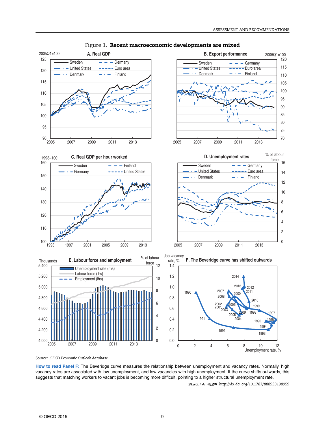

Figure 1. **Recent macroeconomic developments are mixed**

*Source: OECD Economic Outlook database*.

**How to read Panel F:** The Beveridge curve measures the relationship between unemployment and vacancy rates. Normally, high vacancy rates are associated with low unemployment, and low vacancies with high unemployment. If the curve shifts outwards, this suggests that matching workers to vacant jobs is becoming more difficult, pointing to a higher structural unemployment rate.

1 2 *<http://dx.doi.org/10.1787/888933198959>*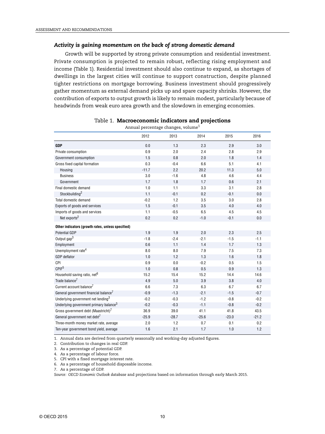#### *Activity is gaining momentum on the back of strong domestic demand*

Growth will be supported by strong private consumption and residential investment. Private consumption is projected to remain robust, reflecting rising employment and income (Table 1). Residential investment should also continue to expand, as shortages of dwellings in the largest cities will continue to support construction, despite planned tighter restrictions on mortgage borrowing. Business investment should progressively gather momentum as external demand picks up and spare capacity shrinks. However, the contribution of exports to output growth is likely to remain modest, particularly because of headwinds from weak euro area growth and the slowdown in emerging economies.

|                                                    | 2012    | 2013    | 2014    | 2015    | 2016    |
|----------------------------------------------------|---------|---------|---------|---------|---------|
| <b>GDP</b>                                         | 0.0     | 1.3     | 2.3     | 2.9     | 3.0     |
| Private consumption                                | 0.9     | 2.0     | 2.4     | 2.8     | 2.9     |
| Government consumption                             | 1.5     | 0.8     | 2.0     | 1.8     | 1.4     |
| Gross fixed capital formation                      | 0.3     | $-0.4$  | 6.6     | 5.1     | 4.1     |
| Housing                                            | $-11.7$ | 2.2     | 20.2    | 11.3    | 5.0     |
| <b>Business</b>                                    | 3.0     | $-1.6$  | 4.8     | 4.6     | 4.4     |
| Government                                         | 1.7     | 1.8     | 1.7     | 0.6     | 2.1     |
| Final domestic demand                              | 1.0     | 1.1     | 3.3     | 3.1     | 2.8     |
| Stockbuilding <sup>2</sup>                         | 1.1     | $-0.1$  | 0.2     | $-0.1$  | 0.0     |
| Total domestic demand                              | $-0.2$  | 1.2     | 3.5     | 3.0     | 2.8     |
| Exports of goods and services                      | 1.5     | $-0.1$  | 3.5     | 4.0     | 4.0     |
| Imports of goods and services                      | 1.1     | $-0.5$  | 6.5     | 4.5     | 4.5     |
| Net exports <sup>2</sup>                           | 0.2     | 0.2     | $-1.0$  | $-0.1$  | 0.0     |
| Other indicators (growth rates, unless specified)  |         |         |         |         |         |
| <b>Potential GDP</b>                               | 1.9     | 1.9     | 2.0     | 2.3     | 2.5     |
| Output gap <sup>3</sup>                            | $-1.8$  | $-2.4$  | $-2.1$  | $-1.5$  | $-1.1$  |
| Employment                                         | 0.6     | 1.1     | 1.4     | 1.7     | 1.3     |
| Unemployment rate <sup>4</sup>                     | 8.0     | 8.0     | 7.9     | 7.5     | 7.3     |
| <b>GDP</b> deflator                                | 1.0     | 1.2     | 1.3     | 1.6     | 1.8     |
| CPI                                                | 0.9     | 0.0     | $-0.2$  | 0.5     | 1.5     |
| CPIF <sup>5</sup>                                  | 1.0     | 0.8     | 0.5     | 0.9     | 1.3     |
| Household saving ratio, net <sup>6</sup>           | 15.2    | 15.4    | 15.2    | 14.4    | 14.6    |
| Trade balance <sup>7</sup>                         | 4.9     | 5.0     | 3.9     | 3.8     | 4.0     |
| Current account balance <sup>7</sup>               | 6.6     | 7.3     | 6.3     | 6.7     | 6.7     |
| General government financial balance <sup>7</sup>  | $-0.9$  | $-1.3$  | $-2.1$  | $-1.5$  | $-0.7$  |
| Underlying government net lending <sup>3</sup>     | $-0.2$  | $-0.3$  | $-1.2$  | $-0.8$  | $-0.2$  |
| Underlying government primary balance <sup>3</sup> | $-0.2$  | $-0.3$  | $-1.1$  | $-0.8$  | $-0.2$  |
| Gross government debt (Maastricht) <sup>7</sup>    | 36.9    | 39.0    | 41.1    | 41.8    | 43.5    |
| General government net debt <sup>7</sup>           | $-25.9$ | $-28.7$ | $-25.6$ | $-23.0$ | $-21.2$ |
| Three-month money market rate, average             | 2.0     | 1.2     | 0.7     | 0.1     | 0.2     |
| Ten-year government bond yield, average            | 1.6     | 2.1     | 1.7     | 1.0     | 1.2     |

#### Table 1. **Macroeconomic indicators and projections**

Annual percentage changes, volume<sup>1</sup>

1. Annual data are derived from quarterly seasonally and working-day adjusted figures.

2. Contribution to changes in real GDP.

3. As a percentage of potential GDP.

4. As a percentage of labour force.

5. CPI with a fixed mortgage interest rate.

6. As a percentage of household disposable income.

7. As a percentage of GDP.

*Source: OECD Economic Outlook database* and projections based on information through early March 2015.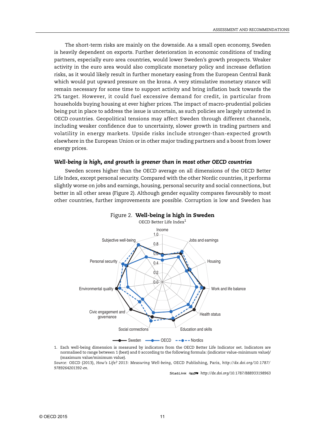The short-term risks are mainly on the downside. As a small open economy, Sweden is heavily dependent on exports. Further deterioration in economic conditions of trading partners, especially euro area countries, would lower Sweden's growth prospects. Weaker activity in the euro area would also complicate monetary policy and increase deflation risks, as it would likely result in further monetary easing from the European Central Bank which would put upward pressure on the krona. A very stimulative monetary stance will remain necessary for some time to support activity and bring inflation back towards the 2% target. However, it could fuel excessive demand for credit, in particular from households buying housing at ever higher prices. The impact of macro-prudential policies being put in place to address the issue is uncertain, as such policies are largely untested in OECD countries. Geopolitical tensions may affect Sweden through different channels, including weaker confidence due to uncertainty, slower growth in trading partners and volatility in energy markets. Upside risks include stronger-than-expected growth elsewhere in the European Union or in other major trading partners and a boost from lower energy prices.

#### *Well-being is high, and growth is greener than in most other OECD countries*

Sweden scores higher than the OECD average on all dimensions of the OECD Better Life Index, except personal security. Compared with the other Nordic countries, it performs slightly worse on jobs and earnings, housing, personal security and social connections, but better in all other areas (Figure 2). Although gender equality compares favourably to most other countries, further improvements are possible. Corruption is low and Sweden has





1. Each well-being dimension is measured by indicators from the OECD Better Life Indicator set. Indicators are normalised to range between 1 (best) and 0 according to the following formula: (indicator value-minimum value)/ (maximum value/minimum value).

*Source:* OECD (2013), *How's Life? 2013: Measuring Well-being*, OECD Publishing, Paris, *[http://dx.doi.org/10.1787/](http://dx.doi.org/10.1787/9789264201392-en) [9789264201392-en](http://dx.doi.org/10.1787/9789264201392-en)*.

1 2 *<http://dx.doi.org/10.1787/888933198963>*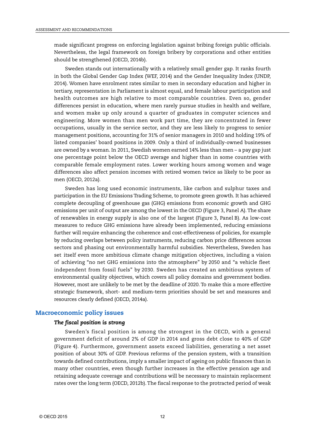made significant progress on enforcing legislation against bribing foreign public officials. Nevertheless, the legal framework on foreign bribery by corporations and other entities should be strengthened (OECD, 2014b).

Sweden stands out internationally with a relatively small gender gap. It ranks fourth in both the Global Gender Gap Index (WEF, 2014) and the Gender Inequality Index (UNDP, 2014). Women have enrolment rates similar to men in secondary education and higher in tertiary, representation in Parliament is almost equal, and female labour participation and health outcomes are high relative to most comparable countries. Even so, gender differences persist in education, where men rarely pursue studies in health and welfare, and women make up only around a quarter of graduates in computer sciences and engineering. More women than men work part time, they are concentrated in fewer occupations, usually in the service sector, and they are less likely to progress to senior management positions, accounting for 31% of senior managers in 2010 and holding 19% of listed companies' board positions in 2009. Only a third of individually-owned businesses are owned by a woman. In 2011, Swedish women earned 14% less than men – a pay gap just one percentage point below the OECD average and higher than in some countries with comparable female employment rates. Lower working hours among women and wage differences also affect pension incomes with retired women twice as likely to be poor as men (OECD, 2012a).

Sweden has long used economic instruments, like carbon and sulphur taxes and participation in the EU Emissions Trading Scheme, to promote green growth. It has achieved complete decoupling of greenhouse gas (GHG) emissions from economic growth and GHG emissions per unit of output are among the lowest in the OECD (Figure 3, Panel A). The share of renewables in energy supply is also one of the largest (Figure 3, Panel B). As low-cost measures to reduce GHG emissions have already been implemented, reducing emissions further will require enhancing the coherence and cost-effectiveness of policies, for example by reducing overlaps between policy instruments, reducing carbon price differences across sectors and phasing out environmentally harmful subsidies. Nevertheless, Sweden has set itself even more ambitious climate change mitigation objectives, including a vision of achieving "no net GHG emissions into the atmosphere" by 2050 and "a vehicle fleet independent from fossil fuels" by 2030. Sweden has created an ambitious system of environmental quality objectives, which covers all policy domains and government bodies. However, most are unlikely to be met by the deadline of 2020. To make this a more effective strategic framework, short- and medium-term priorities should be set and measures and resources clearly defined (OECD, 2014a).

### **Macroeconomic policy issues**

#### *The fiscal position is strong*

Sweden's fiscal position is among the strongest in the OECD, with a general government deficit of around 2% of GDP in 2014 and gross debt close to 40% of GDP (Figure 4). Furthermore, government assets exceed liabilities, generating a net asset position of about 30% of GDP. Previous reforms of the pension system, with a transition towards defined contributions, imply a smaller impact of ageing on public finances than in many other countries, even though further increases in the effective pension age and retaining adequate coverage and contributions will be necessary to maintain replacement rates over the long term (OECD, 2012b). The fiscal response to the protracted period of weak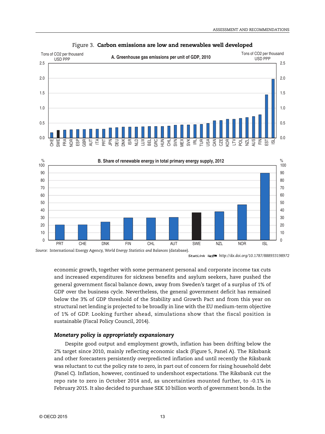

#### Figure 3. **Carbon emissions are low and renewables well developed**

*Source:* International Energy Agency, *World Energy Statistics and Balances* (database).

1 2 *http://dx.doi.org/10.1787/888933198972*

economic growth, together with some permanent personal and corporate income tax cuts and increased expenditures for sickness benefits and asylum seekers, have pushed the general government fiscal balance down, away from Sweden's target of a surplus of 1% of GDP over the business cycle. Nevertheless, the general government deficit has remained below the 3% of GDP threshold of the Stability and Growth Pact and from this year on structural net lending is projected to be broadly in line with the EU medium-term objective of 1% of GDP. Looking further ahead, simulations show that the fiscal position is sustainable (Fiscal Policy Council, 2014).

#### *Monetary policy is appropriately expansionary*

Despite good output and employment growth, inflation has been drifting below the 2% target since 2010, mainly reflecting economic slack (Figure 5, Panel A). The Riksbank and other forecasters persistently overpredicted inflation and until recently the Riksbank was reluctant to cut the policy rate to zero, in part out of concern for rising household debt (Panel C). Inflation, however, continued to undershoot expectations. The Riksbank cut the repo rate to zero in October 2014 and, as uncertainties mounted further, to -0.1% in February 2015. It also decided to purchase SEK 10 billion worth of government bonds. In the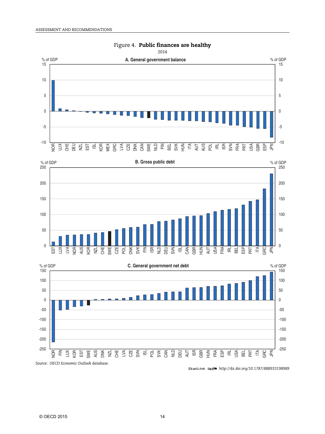

# Figure 4. **Public finances are healthy**

*Source: OECD Economic Outlook database*.

1 2 *<http://dx.doi.org/10.1787/888933198989>*

USA BEL PRT

 $\overline{I}$ **GRC**  $\overline{K}$  -250 -200 -150 -100

-250 -200 -150 -100

NOR  $\widetilde{\overline{\mathbb{E}}}$  $\exists$ KOR EST **SWE** AUS DNK NZL  $E_{\text{eff}}$  e<br>Deu AUT ISR GBR  $\leq$ FRA  $\overline{\mathbb{E}}$  $\vec{\Xi}$ 

N<br>S<br>C  $5\%$  $\overline{\mathbf{S}}$ <u>ក្ត</u>  $5\%$ CAN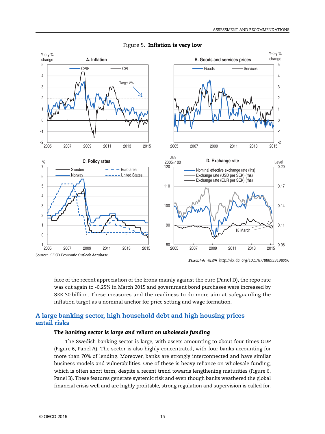

#### Figure 5. **Inflation is very low**

1 2 *http://dx.doi.org/10.1787/888933198996*

face of the recent appreciation of the krona mainly against the euro (Panel D), the repo rate was cut again to -0.25% in March 2015 and government bond purchases were increased by SEK 30 billion. These measures and the readiness to do more aim at safeguarding the inflation target as a nominal anchor for price setting and wage formation.

# **A large banking sector, high household debt and high housing prices entail risks**

### *The banking sector is large and reliant on wholesale funding*

The Swedish banking sector is large, with assets amounting to about four times GDP (Figure 6, Panel A). The sector is also highly concentrated, with four banks accounting for more than 70% of lending. Moreover, banks are strongly interconnected and have similar business models and vulnerabilities. One of these is heavy reliance on wholesale funding, which is often short term, despite a recent trend towards lengthening maturities (Figure 6, Panel B). These features generate systemic risk and even though banks weathered the global financial crisis well and are highly profitable, strong regulation and supervision is called for.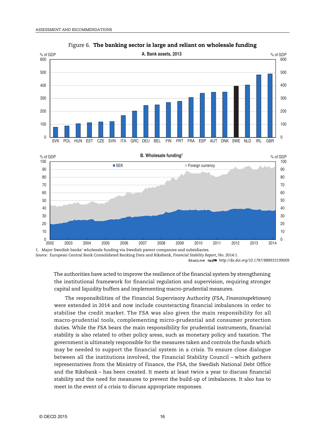

Figure 6. **The banking sector is large and reliant on wholesale funding**

1. Major Swedish banks' wholesale funding via Swedish parent companies and subsidiaries. *Source:* European Central Bank Consolidated Banking Data and Riksbank, *Financial Stability Report* , No. 2014:1. 1 2 *<http://dx.doi.org/10.1787/888933199009>*

The authorities have acted to improve the resilience of the financial system by strengthening the institutional framework for financial regulation and supervision, requiring stronger capital and liquidity buffers and implementing macro-prudential measures.

The responsibilities of the Financial Supervisory Authority (FSA, *Finansinspektionen*) were extended in 2014 and now include counteracting financial imbalances in order to stabilise the credit market. The FSA was also given the main responsibility for all macro-prudential tools, complementing micro-prudential and consumer protection duties. While the FSA bears the main responsibility for prudential instruments, financial stability is also related to other policy areas, such as monetary policy and taxation. The government is ultimately responsible for the measures taken and controls the funds which may be needed to support the financial system in a crisis. To ensure close dialogue between all the institutions involved, the Financial Stability Council – which gathers representatives from the Ministry of Finance, the FSA, the Swedish National Debt Office and the Riksbank – has been created. It meets at least twice a year to discuss financial stability and the need for measures to prevent the build-up of imbalances. It also has to meet in the event of a crisis to discuss appropriate responses.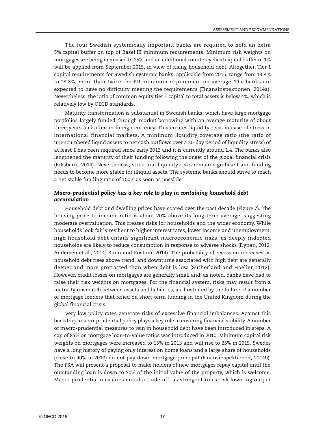The four Swedish systemically important banks are required to hold an extra 5% capital buffer on top of Basel III minimum requirements. Minimum risk weights on mortgages are being increased to 25% and an additional countercyclical capital buffer of 1% will be applied from September 2015, in view of rising household debt. Altogether, Tier 1 capital requirements for Swedish systemic banks, applicable from 2015, range from 14.4% to 18.8%, more than twice the EU minimum requirement on average. The banks are expected to have no difficulty meeting the requirements (Finansinspektionen, 2014a). Nevertheless, the ratio of common equity tier 1 capital to total assets is below 4%, which is relatively low by OECD standards.

Maturity transformation is substantial in Swedish banks, which have large mortgage portfolios largely funded through market borrowing with an average maturity of about three years and often in foreign currency. This creates liquidity risks in case of stress in international financial markets. A minimum liquidity coverage ratio (the ratio of unencumbered liquid assets to net cash outflows over a 30-day period of liquidity stress) of at least 1 has been required since early 2013 and it is currently around 1.4. The banks also lengthened the maturity of their funding following the onset of the global financial crisis (Riksbank, 2014). Nevertheless, structural liquidity risks remain significant and funding needs to become more stable for illiquid assets. The systemic banks should strive to reach a net stable funding ratio of 100% as soon as possible.

### *Macro-prudential policy has a key role to play in containing household debt accumulation*

Household debt and dwelling prices have soared over the past decade (Figure 7). The housing price-to-income ratio is about 20% above its long-term average, suggesting moderate overvaluation. This creates risks for households and the wider economy. While households look fairly resilient to higher interest rates, lower income and unemployment, high household debt entails significant macroeconomic risks, as deeply indebted households are likely to reduce consumption in response to adverse shocks (Dynan, 2012; Andersen et al., 2014; Bunn and Rostom, 2014). The probability of recession increases as household debt rises above trend, and downturns associated with high debt are generally deeper and more protracted than when debt is low (Sutherland and Hoeller, 2012). However, credit losses on mortgages are generally small and, as noted, banks have had to raise their risk weights on mortgages. For the financial system, risks may result from a maturity mismatch between assets and liabilities, as illustrated by the failure of a number of mortgage lenders that relied on short-term funding in the United Kingdom during the global financial crisis.

Very low policy rates generate risks of excessive financial imbalances. Against this backdrop, macro-prudential policy plays a key role in ensuring financial stability. A number of macro-prudential measures to rein in household debt have been introduced in steps. A cap of 85% on mortgage loan-to-value ratios was introduced in 2010. Minimum capital risk weights on mortgages were increased to 15% in 2013 and will rise to 25% in 2015. Swedes have a long history of paying only interest on home loans and a large share of households (close to 40% in 2013) do not pay down mortgage principal (Finansinspektionen, 2014b). The FSA will present a proposal to make holders of new mortgages repay capital until the outstanding loan is down to 50% of the initial value of the property, which is welcome. Macro-prudential measures entail a trade-off, as stringent rules risk lowering output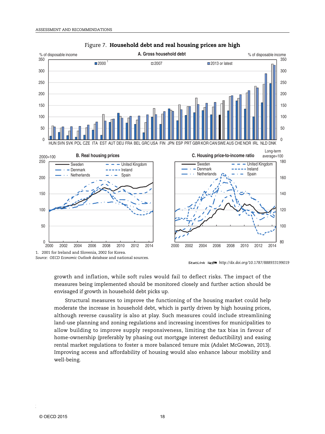

#### Figure 7. **Household debt and real housing prices are high**

*Source: OECD Economic Outlook database* and national sources.

1 2 *<http://dx.doi.org/10.1787/888933199019>*

growth and inflation, while soft rules would fail to deflect risks. The impact of the measures being implemented should be monitored closely and further action should be envisaged if growth in household debt picks up.

Structural measures to improve the functioning of the housing market could help moderate the increase in household debt, which is partly driven by high housing prices, although reverse causality is also at play. Such measures could include streamlining land-use planning and zoning regulations and increasing incentives for municipalities to allow building to improve supply responsiveness, limiting the tax bias in favour of home-ownership (preferably by phasing out mortgage interest deductibility) and easing rental market regulations to foster a more balanced tenure mix (Adalet McGowan, 2013). Improving access and affordability of housing would also enhance labour mobility and well-being.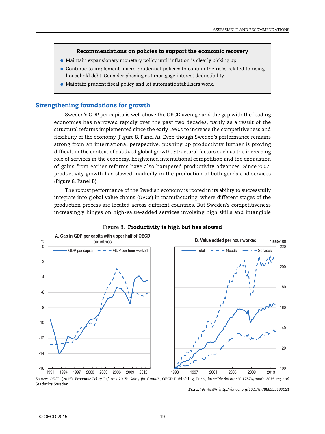#### **Recommendations on policies to support the economic recovery**

- Maintain expansionary monetary policy until inflation is clearly picking up.
- Continue to implement macro-prudential policies to contain the risks related to rising household debt. Consider phasing out mortgage interest deductibility.
- Maintain prudent fiscal policy and let automatic stabilisers work.

#### **Strengthening foundations for growth**

Sweden's GDP per capita is well above the OECD average and the gap with the leading economies has narrowed rapidly over the past two decades, partly as a result of the structural reforms implemented since the early 1990s to increase the competitiveness and flexibility of the economy (Figure 8, Panel A). Even though Sweden's performance remains strong from an international perspective, pushing up productivity further is proving difficult in the context of subdued global growth. Structural factors such as the increasing role of services in the economy, heightened international competition and the exhaustion of gains from earlier reforms have also hampered productivity advances. Since 2007, productivity growth has slowed markedly in the production of both goods and services (Figure 8, Panel B).

The robust performance of the Swedish economy is rooted in its ability to successfully integrate into global value chains (GVCs) in manufacturing, where different stages of the production process are located across different countries. But Sweden's competitiveness increasingly hinges on high-value-added services involving high skills and intangible



#### Figure 8. **Productivity is high but has slowed**

*Source:* OECD (2015), *Economic Policy Reforms 2015: Going for Growth*, OECD Publishing, Paris, *<http://dx.doi.org/10.1787/growth-2015-en>*; and Statistics Sweden.

1 2 *<http://dx.doi.org/10.1787/888933199021>*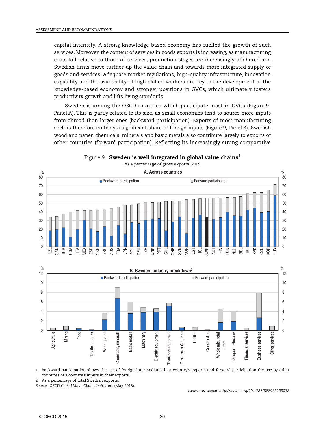capital intensity. A strong knowledge-based economy has fuelled the growth of such services. Moreover, the content of services in goods exports is increasing, as manufacturing costs fall relative to those of services, production stages are increasingly offshored and Swedish firms move further up the value chain and towards more integrated supply of goods and services. Adequate market regulations, high-quality infrastructure, innovation capability and the availability of high-skilled workers are key to the development of the knowledge-based economy and stronger positions in GVCs, which ultimately fosters productivity growth and lifts living standards.

Sweden is among the OECD countries which participate most in GVCs (Figure 9, Panel A). This is partly related to its size, as small economies tend to source more inputs from abroad than larger ones (backward participation). Exports of most manufacturing sectors therefore embody a significant share of foreign inputs (Figure 9, Panel B). Swedish wood and paper, chemicals, minerals and basic metals also contribute largely to exports of other countries (forward participation). Reflecting its increasingly strong comparative







1. Backward participation shows the use of foreign intermediates in a country's exports and forward participation the use by other countries of a country's inputs in their exports.

2. As a percentage of total Swedish exports.

*Source: OECD Global Value Chains Indicators* (May 2013).

1 2 *<http://dx.doi.org/10.1787/888933199038>*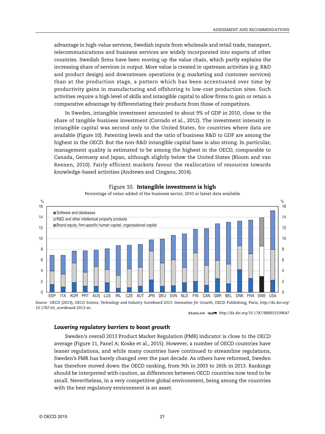advantage in high-value services, Swedish inputs from wholesale and retail trade, transport, telecommunications and business services are widely incorporated into exports of other countries. Swedish firms have been moving up the value chain, which partly explains the increasing share of services in output. More value is created in upstream activities (e.g. R&D and product design) and downstream operations (e.g. marketing and customer services) than at the production stage, a pattern which has been accentuated over time by productivity gains in manufacturing and offshoring to low-cost production sites. Such activities require a high level of skills and intangible capital to allow firms to gain or retain a comparative advantage by differentiating their products from those of competitors.

In Sweden, intangible investment amounted to about 9% of GDP in 2010, close to the share of tangible business investment (Corrado et al., 2012). The investment intensity in intangible capital was second only to the United States, for countries where data are available (Figure 10). Patenting levels and the ratio of business R&D to GDP are among the highest in the OECD. But the non-R&D intangible capital base is also strong. In particular, management quality is estimated to be among the highest in the OECD, comparable to Canada, Germany and Japan, although slightly below the United States (Bloom and van Reenen, 2010). Fairly efficient markets favour the reallocation of resources towards knowledge-based activities (Andrews and Cingano, 2014).



#### Figure 10. **Intangible investment is high**

Percentage of value-added of the business sector, 2010 or latest data available

1 2 *<http://dx.doi.org/10.1787/888933199047>*

#### *Lowering regulatory barriers to boost growth*

Sweden's overall 2013 Product Market Regulation (PMR) indicator is close to the OECD average (Figure 11, Panel A; Koske et al., 2015). However, a number of OECD countries have leaner regulations, and while many countries have continued to streamline regulations, Sweden's PMR has barely changed over the past decade. As others have reformed, Sweden has therefore moved down the OECD ranking, from 9th in 2003 to 26th in 2013. Rankings should be interpreted with caution, as differences between OECD countries now tend to be small. Nevertheless, in a very competitive global environment, being among the countries with the best regulatory environment is an asset.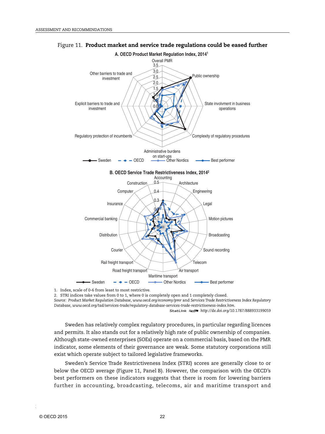

#### Figure 11. **Product market and service trade regulations could be eased further**

1. Index, scale of 0-6 from least to most restrictive.

2. STRI indices take values from 0 to 1, where 0 is completely open and 1 completely closed.

*Source: Product Market Regulation Database*, *[www.oecd.org/economy/pmr](http://www.oecd.org/economy/pmr)* and *Services Trade Restrictiveness Index Regulatory Database*, *[www.oecd.org/tad/services-trade/regulatory-database-services-trade-restrictiveness-index.htm](http://www.oecd.org/tad/services-trade/regulatory-database-services-trade-restrictiveness-index.htm)* .

1 2 *<http://dx.doi.org/10.1787/888933199059>*

Sweden has relatively complex regulatory procedures, in particular regarding licences and permits. It also stands out for a relatively high rate of public ownership of companies. Although state-owned enterprises (SOEs) operate on a commercial basis, based on the PMR indicator, some elements of their governance are weak. Some statutory corporations still exist which operate subject to tailored legislative frameworks.

Sweden's Service Trade Restrictiveness Index (STRI) scores are generally close to or below the OECD average (Figure 11, Panel B). However, the comparison with the OECD's best performers on these indicators suggests that there is room for lowering barriers further in accounting, broadcasting, telecoms, air and maritime transport and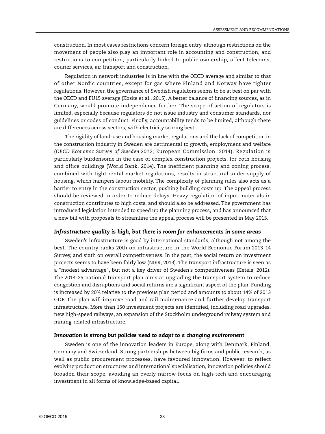construction. In most cases restrictions concern foreign entry, although restrictions on the movement of people also play an important role in accounting and construction, and restrictions to competition, particularly linked to public ownership, affect telecoms, courier services, air transport and construction.

Regulation in network industries is in line with the OECD average and similar to that of other Nordic countries, except for gas where Finland and Norway have tighter regulations. However, the governance of Swedish regulators seems to be at best on par with the OECD and EU15 average (Koske et al., 2015). A better balance of financing sources, as in Germany, would promote independence further. The scope of action of regulators is limited, especially because regulators do not issue industry and consumer standards, nor guidelines or codes of conduct. Finally, accountability tends to be limited, although there are differences across sectors, with electricity scoring best.

The rigidity of land-use and housing market regulations and the lack of competition in the construction industry in Sweden are detrimental to growth, employment and welfare (*OECD Economic Survey of Sweden 2012*; European Commission, 2014). Regulation is particularly burdensome in the case of complex construction projects, for both housing and office buildings (World Bank, 2014). The inefficient planning and zoning process, combined with tight rental market regulations, results in structural under-supply of housing, which hampers labour mobility. The complexity of planning rules also acts as a barrier to entry in the construction sector, pushing building costs up. The appeal process should be reviewed in order to reduce delays. Heavy regulation of input materials in construction contributes to high costs, and should also be addressed. The government has introduced legislation intended to speed up the planning process, and has announced that a new bill with proposals to streamline the appeal process will be presented in May 2015.

#### *Infrastructure quality is high, but there is room for enhancements in some areas*

Sweden's infrastructure is good by international standards, although not among the best. The country ranks 20th on infrastructure in the World Economic Forum 2013-14 Survey, and sixth on overall competitiveness. In the past, the social return on investment projects seems to have been fairly low (NIER, 2013). The transport infrastructure is seen as a "modest advantage", but not a key driver of Sweden's competitiveness (Ketels, 2012). The 2014-25 national transport plan aims at upgrading the transport system to reduce congestion and disruptions and social returns are a significant aspect of the plan. Funding is increased by 20% relative to the previous plan period and amounts to about 14% of 2013 GDP. The plan will improve road and rail maintenance and further develop transport infrastructure. More than 150 investment projects are identified, including road upgrades, new high-speed railways, an expansion of the Stockholm underground railway system and mining-related infrastructure.

#### *Innovation is strong but policies need to adapt to a changing environment*

Sweden is one of the innovation leaders in Europe, along with Denmark, Finland, Germany and Switzerland. Strong partnerships between big firms and public research, as well as public procurement processes, have favoured innovation. However, to reflect evolving production structures and international specialisation, innovation policies should broaden their scope, avoiding an overly narrow focus on high-tech and encouraging investment in all forms of knowledge-based capital.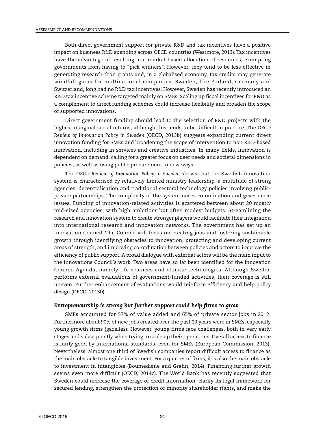Both direct government support for private R&D and tax incentives have a positive impact on business R&D spending across OECD countries (Westmore, 2013). Tax incentives have the advantage of resulting in a market-based allocation of resources, exempting governments from having to "pick winners". However, they tend to be less effective in generating research than grants and, in a globalised economy, tax credits may generate windfall gains for multinational companies. Sweden, like Finland, Germany and Switzerland, long had no R&D tax incentives. However, Sweden has recently introduced an R&D tax incentive scheme targeted mainly on SMEs. Scaling up fiscal incentives for R&D as a complement to direct funding schemes could increase flexibility and broaden the scope of supported innovations.

Direct government funding should lead to the selection of R&D projects with the highest marginal social returns, although this tends to be difficult in practice. The *OECD Review of Innovation Policy in Sweden* (OECD, 2013b) suggests expanding current direct innovation funding for SMEs and broadening the scope of intervention to non R&D-based innovation, including in services and creative industries. In many fields, innovation is dependent on demand, calling for a greater focus on user needs and societal dimensions in policies, as well as using public procurement in new ways.

The *OECD Review of Innovation Policy in Sweden* shows that the Swedish innovation system is characterised by relatively limited ministry leadership, a multitude of strong agencies, decentralisation and traditional sectoral technology policies involving publicprivate partnerships. The complexity of the system raises co-ordination and governance issues. Funding of innovation-related activities is scattered between about 20 mostly mid-sized agencies, with high ambitions but often modest budgets. Streamlining the research and innovation system to create stronger players would facilitate their integration into international research and innovation networks. The government has set up an Innovation Council. The Council will focus on creating jobs and fostering sustainable growth through identifying obstacles to innovation, protecting and developing current areas of strength, and improving co-ordination between policies and actors to improve the efficiency of public support. A broad dialogue with external actors will be the main input to the Innovations Council´s work. Two areas have so far been identified for the Innovation Council Agenda, namely life sciences and climate technologies. Although Sweden performs external evaluations of government-funded activities, their coverage is still uneven. Further enhancement of evaluations would reinforce efficiency and help policy design (OECD, 2013b).

#### *Entrepreneurship is strong but further support could help firms to grow*

SMEs accounted for 57% of value added and 65% of private sector jobs in 2012. Furthermore about 90% of new jobs created over the past 20 years were in SMEs, especially young growth firms (gazelles). However, young firms face challenges, both in very early stages and subsequently when trying to scale up their operations. Overall access to finance is fairly good by international standards, even for SMEs (European Commission, 2013). Nevertheless, almost one third of Swedish companies report difficult access to finance as the main obstacle to tangible investment. For a quarter of firms, it is also the main obstacle to investment in intangibles (Boumediene and Grahn, 2014). Financing further growth seems even more difficult (OECD, 2014c). The World Bank has recently suggested that Sweden could increase the coverage of credit information, clarify its legal framework for secured lending, strengthen the protection of minority shareholder rights, and make the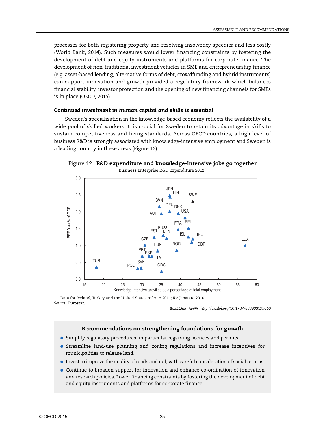processes for both registering property and resolving insolvency speedier and less costly (World Bank, 2014). Such measures would lower financing constraints by fostering the development of debt and equity instruments and platforms for corporate finance. The development of non-traditional investment vehicles in SME and entrepreneurship finance (e.g. asset-based lending, alternative forms of debt, crowdfunding and hybrid instruments) can support innovation and growth provided a regulatory framework which balances financial stability, investor protection and the opening of new financing channels for SMEs is in place (OECD, 2015).

## *Continued investment in human capital and skills is essential*

Sweden's specialisation in the knowledge-based economy reflects the availability of a wide pool of skilled workers. It is crucial for Sweden to retain its advantage in skills to sustain competitiveness and living standards. Across OECD countries, a high level of business R&D is strongly associated with knowledge-intensive employment and Sweden is a leading country in these areas (Figure 12).



Figure 12. **R&D expenditure and knowledge-intensive jobs go together**

1. Data for Iceland, Turkey and the United States refer to 2011; for Japan to 2010. *Source:* Eurostat.

1 2 *<http://dx.doi.org/10.1787/888933199060>*

#### **Recommendations on strengthening foundations for growth**

- Simplify regulatory procedures, in particular regarding licences and permits.
- Streamline land-use planning and zoning regulations and increase incentives for municipalities to release land.
- Invest to improve the quality of roads and rail, with careful consideration of social returns.
- Continue to broaden support for innovation and enhance co-ordination of innovation and research policies. Lower financing constraints by fostering the development of debt and equity instruments and platforms for corporate finance.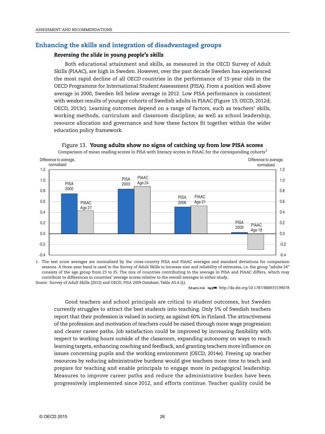# **Enhancing the skills and integration of disadvantaged groups**

## *Reversing the slide in young people's skills*

Both educational attainment and skills, as measured in the OECD Survey of Adult Skills (PIAAC), are high in Sweden. However, over the past decade Sweden has experienced the most rapid decline of all OECD countries in the performance of 15-year olds in the OECD Programme for International Student Assessment (PISA). From a position well above average in 2000, Sweden fell below average in 2012. Low PISA performance is consistent with weaker results of younger cohorts of Swedish adults in PIAAC (Figure 13; OECD, 2012d; OECD, 2013c). Learning outcomes depend on a range of factors, such as teachers' skills, working methods, curriculum and classroom discipline, as well as school leadership, resource allocation and governance and how these factors fit together within the wider education policy framework.



Figure 13. **Young adults show no signs of catching up from low PISA scores**

Comparison of mean reading scores in PISA with literacy scores in PIAAC for the corresponding cohorts<sup>1</sup>

1. The test score averages are normalised by the cross-country PISA and PIAAC averages and standard deviations for comparison reasons. A three-year band is used in the Survey of Adult Skills to increase size and reliability of estimates, i.e. the group "adults 24" consists of the age group from 23 to 25. The mix of countries contributing to the average in PISA and PIAAC differs, which may contribute to differences in countries' average scores relative to the overall averages in either study. *Source:* Survey of Adult Skills (2012) and OECD, *PISA 2009 Database*, Table A5.6 (L).

1 2 *<http://dx.doi.org/10.1787/888933199078>*

Good teachers and school principals are critical to student outcomes, but Sweden currently struggles to attract the best students into teaching. Only 5% of Swedish teachers report that their profession is valued in society, as against 60% in Finland. The attractiveness of the profession and motivation of teachers could be raised through more wage progression and clearer career paths. Job satisfaction could be improved by increasing flexibility with respect to working hours outside of the classroom, expanding autonomy on ways to reach learning targets, enhancing coaching and feedback, and granting teachers more influence on issues concerning pupils and the working environment (OECD, 2014e). Freeing up teacher resources by reducing administrative burdens would give teachers more time to teach and prepare for teaching and enable principals to engage more in pedagogical leadership. Measures to improve career paths and reduce the administrative burden have been progressively implemented since 2012, and efforts continue. Teacher quality could be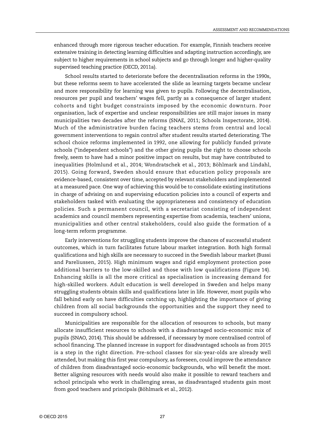enhanced through more rigorous teacher education. For example, Finnish teachers receive extensive training in detecting learning difficulties and adapting instruction accordingly, are subject to higher requirements in school subjects and go through longer and higher-quality supervised teaching practice (OECD, 2011a).

School results started to deteriorate before the decentralisation reforms in the 1990s, but these reforms seem to have accelerated the slide as learning targets became unclear and more responsibility for learning was given to pupils. Following the decentralisation, resources per pupil and teachers' wages fell, partly as a consequence of larger student cohorts and tight budget constraints imposed by the economic downturn. Poor organisation, lack of expertise and unclear responsibilities are still major issues in many municipalities two decades after the reforms (SNAE, 2011; Schools Inspectorate, 2014). Much of the administrative burden facing teachers stems from central and local government interventions to regain control after student results started deteriorating. The school choice reforms implemented in 1992, one allowing for publicly funded private schools ("independent schools") and the other giving pupils the right to choose schools freely, seem to have had a minor positive impact on results, but may have contributed to inequalities (Holmlund et al., 2014; Wondratschek et al., 2013; Böhlmark and Lindahl, 2015). Going forward, Sweden should ensure that education policy proposals are evidence-based, consistent over time, accepted by relevant stakeholders and implemented at a measured pace. One way of achieving this would be to consolidate existing institutions in charge of advising on and supervising education policies into a council of experts and stakeholders tasked with evaluating the appropriateness and consistency of education policies. Such a permanent council, with a secretariat consisting of independent academics and council members representing expertise from academia, teachers' unions, municipalities and other central stakeholders, could also guide the formation of a long-term reform programme.

Early interventions for struggling students improve the chances of successful student outcomes, which in turn facilitates future labour market integration. Both high formal qualifications and high skills are necessary to succeed in the Swedish labour market (Bussi and Pareliussen, 2015). High minimum wages and rigid employment protection pose additional barriers to the low-skilled and those with low qualifications (Figure 14). Enhancing skills is all the more critical as specialisation is increasing demand for high-skilled workers. Adult education is well developed in Sweden and helps many struggling students obtain skills and qualifications later in life. However, most pupils who fall behind early on have difficulties catching up, highlighting the importance of giving children from all social backgrounds the opportunities and the support they need to succeed in compulsory school.

Municipalities are responsible for the allocation of resources to schools, but many allocate insufficient resources to schools with a disadvantaged socio-economic mix of pupils (SNAO, 2014). This should be addressed, if necessary by more centralised control of school financing. The planned increase in support for disadvantaged schools as from 2015 is a step in the right direction. Pre-school classes for six-year-olds are already well attended, but making this first year compulsory, as foreseen, could improve the attendance of children from disadvantaged socio-economic backgrounds, who will benefit the most. Better aligning resources with needs would also make it possible to reward teachers and school principals who work in challenging areas, as disadvantaged students gain most from good teachers and principals (Böhlmark et al., 2012).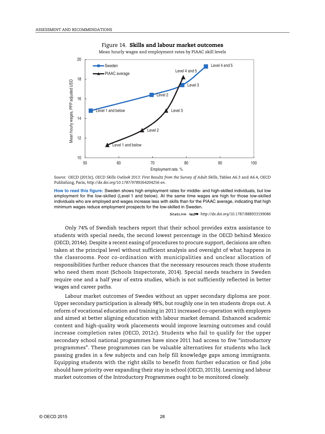

Figure 14. **Skills and labour market outcomes**

Mean hourly wages and employment rates by PIAAC skill levels

*Source:* OECD (2013c), *OECD Skills Outlook 2013: First Results from the Survey of Adult Skills*, Tables A6.3 and A6.4, OECD Publishing, Paris, *<http://dx.doi.org/10.1787/9789264204256-en>*.

**How to read this figure:** Sweden shows high employment rates for middle- and high-skilled individuals, but low employment for the low-skilled (Level 1 and below). At the same time wages are high for those low-skilled individuals who are employed and wages increase less with skills than for the PIAAC average, indicating that high minimum wages reduce employment prospects for the low-skilled in Sweden.

1 2 *<http://dx.doi.org/10.1787/888933199086>*

Only 74% of Swedish teachers report that their school provides extra assistance to students with special needs, the second lowest percentage in the OECD behind Mexico (OECD, 2014e). Despite a recent easing of procedures to procure support, decisions are often taken at the principal level without sufficient analysis and oversight of what happens in the classrooms. Poor co-ordination with municipalities and unclear allocation of responsibilities further reduce chances that the necessary resources reach those students who need them most (Schools Inspectorate, 2014). Special needs teachers in Sweden require one and a half year of extra studies, which is not sufficiently reflected in better wages and career paths.

Labour market outcomes of Swedes without an upper secondary diploma are poor. Upper secondary participation is already 98%, but roughly one in ten students drops out. A reform of vocational education and training in 2011 increased co-operation with employers and aimed at better aligning education with labour market demand. Enhanced academic content and high-quality work placements would improve learning outcomes and could increase completion rates (OECD, 2012c). Students who fail to qualify for the upper secondary school national programmes have since 2011 had access to five "introductory programmes". These programmes can be valuable alternatives for students who lack passing grades in a few subjects and can help fill knowledge gaps among immigrants. Equipping students with the right skills to benefit from further education or find jobs should have priority over expanding their stay in school (OECD, 2011b). Learning and labour market outcomes of the Introductory Programmes ought to be monitored closely.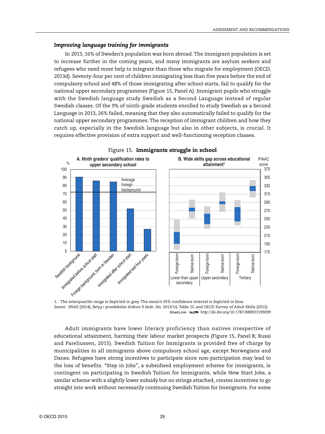#### *Improving language training for immigrants*

In 2013, 16% of Sweden's population was born abroad. The immigrant population is set to increase further in the coming years, and many immigrants are asylum seekers and refugees who need more help to integrate than those who migrate for employment (OECD, 2013d). Seventy-four per cent of children immigrating less than five years before the end of compulsory school and 48% of those immigrating after school starts, fail to qualify for the national upper secondary programmes (Figure 15, Panel A). Immigrant pupils who struggle with the Swedish language study Swedish as a Second Language instead of regular Swedish classes. Of the 9% of ninth-grade students enrolled to study Swedish as a Second Language in 2013, 26% failed, meaning that they also automatically failed to qualify for the national upper secondary programmes. The reception of immigrant children and how they catch up, especially in the Swedish language but also in other subjects, is crucial. It requires effective provision of extra support and well-functioning reception classes.



#### Figure 15. **Immigrants struggle in school**

*Source:* SNAE (2014), *Betyg i grundskolan årskurs 9 läsår*, No. 2013/14, Table 1C and OECD Survey of Adult Skills (2012). 1 2 *<http://dx.doi.org/10.1787/888933199099>*

Adult immigrants have lower literacy proficiency than natives irrespective of educational attainment, harming their labour market prospects (Figure 15, Panel B; Bussi and Pareliussen, 2015). Swedish Tuition for Immigrants is provided free of charge by municipalities to all immigrants above compulsory school age, except Norwegians and Danes. Refugees have strong incentives to participate since non-participation may lead to the loss of benefits. "Step in Jobs", a subsidised employment scheme for immigrants, is contingent on participating in Swedish Tuition for Immigrants, while New Start Jobs, a similar scheme with a slightly lower subsidy but no strings attached, creates incentives to go straight into work without necessarily continuing Swedish Tuition for Immigrants. For some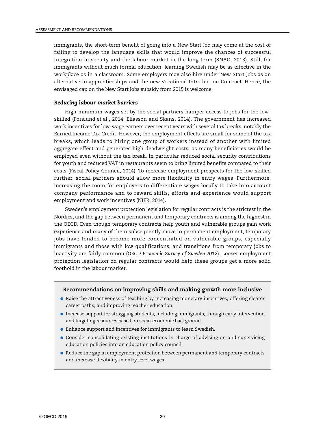immigrants, the short-term benefit of going into a New Start Job may come at the cost of failing to develop the language skills that would improve the chances of successful integration in society and the labour market in the long term (SNAO, 2013). Still, for immigrants without much formal education, learning Swedish may be as effective in the workplace as in a classroom. Some employers may also hire under New Start Jobs as an alternative to apprenticeships and the new Vocational Introduction Contract. Hence, the envisaged cap on the New Start Jobs subsidy from 2015 is welcome.

#### *Reducing labour market barriers*

High minimum wages set by the social partners hamper access to jobs for the lowskilled (Forslund et al., 2014; Eliasson and Skans, 2014). The government has increased work incentives for low-wage earners over recent years with several tax breaks, notably the Earned Income Tax Credit. However, the employment effects are small for some of the tax breaks, which leads to hiring one group of workers instead of another with limited aggregate effect and generates high deadweight costs, as many beneficiaries would be employed even without the tax break. In particular reduced social security contributions for youth and reduced VAT in restaurants seem to bring limited benefits compared to their costs (Fiscal Policy Council, 2014). To increase employment prospects for the low-skilled further, social partners should allow more flexibility in entry wages. Furthermore, increasing the room for employers to differentiate wages locally to take into account company performance and to reward skills, efforts and experience would support employment and work incentives (NIER, 2014).

Sweden's employment protection legislation for regular contracts is the strictest in the Nordics, and the gap between permanent and temporary contracts is among the highest in the OECD. Even though temporary contracts help youth and vulnerable groups gain work experience and many of them subsequently move to permanent employment, temporary jobs have tended to become more concentrated on vulnerable groups, especially immigrants and those with low qualifications, and transitions from temporary jobs to inactivity are fairly common (*OECD Economic Survey of Sweden 2012*). Looser employment protection legislation on regular contracts would help these groups get a more solid foothold in the labour market.

#### **Recommendations on improving skills and making growth more inclusive**

- Raise the attractiveness of teaching by increasing monetary incentives, offering clearer career paths, and improving teacher education.
- Increase support for struggling students, including immigrants, through early intervention and targeting resources based on socio-economic background.
- Enhance support and incentives for immigrants to learn Swedish.
- Consider consolidating existing institutions in charge of advising on and supervising education policies into an education policy council.
- Reduce the gap in employment protection between permanent and temporary contracts and increase flexibility in entry level wages.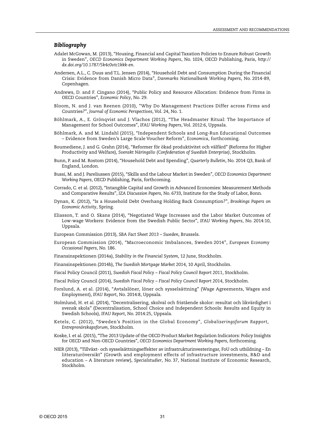#### *Bibliography*

- Adalet McGowan, M. (2013), "Housing, Financial and Capital Taxation Policies to Ensure Robust Growth in Sweden", *OECD Economics Department Working Papers*, No. 1024, OECD Publishing, Paris, *[http://](http://dx.doi.org/10.1787/5k4c0vtc1kkk-en) [dx.doi.org/10.1787/5k4c0vtc1kkk-en](http://dx.doi.org/10.1787/5k4c0vtc1kkk-en)*.
- Andersen, A.L., C. Duus and T.L. Jensen (2014), "Household Debt and Consumption During the Financial Crisis: Evidence from Danish Micro Data", *Danmarks Nationalbank Working Papers*, No. 2014-89, Copenhagen.
- Andrews, D. and F. Cingano (2014), "Public Policy and Resource Allocation: Evidence from Firms in OECD Countries", *Economic Policy*, No. 29.
- Bloom, N. and J. van Reenen (2010), "Why Do Management Practices Differ across Firms and Countries?", *Journal of Economic Perspectives*, Vol. 24, No. 1.
- Böhlmark, A., E. Grönqvist and J. Vlachos (2012), "The Headmaster Ritual: The Importance of Management for School Outcomes", *IFAU Working Papers*, Vol. 2012:6, Uppsala.
- Böhlmark, A. and M. Lindahl (2015), "Independent Schools and Long-Run Educational Outcomes – Evidence from Sweden's Large Scale Voucher Reform", *Economica*, forthcoming.
- Boumediene, J. and G. Grahn (2014), "Reformer för ökad produktivitet och välfärd" (Reforms for Higher Productivity and Welfare), *Svenskt Näringsliv (Confederation of Swedish Enterprise)*, Stockholm.
- Bunn, P. and M. Rostom (2014), "Household Debt and Spending", *Quarterly Bulletin*, No. 2014 Q3, Bank of England, London.
- Bussi, M. and J. Pareliussen (2015), "Skills and the Labour Market in Sweden", *OECD Economics Department Working Papers*, OECD Publishing, Paris, forthcoming.
- Corrado, C. et al. (2012), "Intangible Capital and Growth in Advanced Economies: Measurement Methods and Comparative Results", *IZA Discussion Papers*, No. 6733, Institute for the Study of Labor, Bonn.
- Dynan, K. (2012), "Is a Household Debt Overhang Holding Back Consumption?", *Brookings Papers on Economic Activity*, Spring.
- Eliasson, T. and O. Skans (2014), "Negotiated Wage Increases and the Labor Market Outcomes of Low-wage Workers: Evidence from the Swedish Public Sector", *IFAU Working Papers*, No. 2014:10, Uppsala.
- European Commission (2013), *SBA Fact Sheet 2013 Sweden*, Brussels.
- European Commission (2014), "Macroeconomic Imbalances, Sweden 2014", *European Economy Occasional Papers*, No. 186.
- Finansinspektionen (2014a), *Stability in the Financial System*, 12 June, Stockholm.
- Finansinspektionen (2014b), *The Swedish Mortgage Market 2014*, 10 April, Stockholm.
- Fiscal Policy Council (2011), *Swedish Fiscal Policy Fiscal Policy Council Report 2011*, Stockholm.
- Fiscal Policy Council (2014), *Swedish Fiscal Policy Fiscal Policy Council Report 2014*, Stockholm.
- Forslund, A. et al. (2014), "Avtalslöner, löner och sysselsättning" (Wage Agreements, Wages and Employment), *IFAU Report*, No. 2014:8, Uppsala.
- Holmlund, H. et al. (2014), "Decentralisering, skolval och fristående skolor: resultat och likvärdighet i svensk skola" (Decentralisation, School Choice and Independent Schools: Results and Equity in Swedish Schools), *IFAU Report*, No. 2014:25, Uppsala.
- Ketels, C. (2012), "Sweden's Position in the Global Economy", *Globaliseringsforum Rapport, Entreprenörskapsforum*, Stockholm.
- Koske, I. et al. (2015), "The 2013 Update of the OECD Product Market Regulation Indicators: Policy Insights for OECD and Non-OECD Countries", *OECD Economics Department Working Papers*, forthcoming.
- NIER (2013), "Tillväxt- och sysselsättningseffekter av infrastrukturinvesteringar, FoU och utbildning En litteraturöversikt" (Growth and employment effects of infrastructure investments, R&D and education – A literature review), *Specialstudier*, No. 37, National Institute of Economic Research, Stockholm.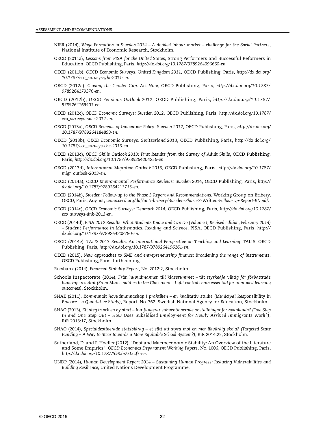- NIER (2014), *Wage Formation in Sweden 2014 A divided labour market challenge for the Social Partners*, National Institute of Economic Research, Stockholm.
- OECD (2011a), *Lessons from PISA for the United States*, Strong Performers and Successful Reformers in Education, OECD Publishing, Paris, *<http://dx.doi.org/10.1787/9789264096660-en>*.
- OECD (2011b), *OECD Economic Surveys: United Kingdom 2011*, OECD Publishing, Paris, *[http://dx.doi.org/](http://dx.doi.org/10.1787/eco_surveys-gbr-2011-en) [10.1787/eco\\_surveys-gbr-2011-en](http://dx.doi.org/10.1787/eco_surveys-gbr-2011-en)*.
- OECD (2012a), *Closing the Gender Gap: Act Now*, OECD Publishing, Paris, *[http://dx.doi.org/10.1787/](http://dx.doi.org/10.1787/9789264179370-en) [9789264179370-en](http://dx.doi.org/10.1787/9789264179370-en)*.
- OECD (2012b), *OECD Pensions Outlook 2012*, OECD Publishing, Paris, *[http://dx.doi.org/10.1787/](http://dx.doi.org/10.1787/9789264169401-en) [9789264169401-en](http://dx.doi.org/10.1787/9789264169401-en)*.
- OECD (2012c), *OECD Economic Surveys: Sweden 2012*, OECD Publishing, Paris, *[http://dx.doi.org/10.1787/](http://dx.doi.org/10.1787/eco_surveys-swe-2012-en) [eco\\_surveys-swe-2012-en](http://dx.doi.org/10.1787/eco_surveys-swe-2012-en)*.
- OECD (2013a), *OECD Reviews of Innovation Policy: Sweden 2012*, OECD Publishing, Paris, *[http://dx.doi.org/](http://dx.doi.org/10.1787/9789264184893-en) [10.1787/9789264184893-en](http://dx.doi.org/10.1787/9789264184893-en)*.
- OECD (2013b), *OECD Economic Surveys: Switzerland 2013*, OECD Publishing, Paris, *[http://dx.doi.org/](http://dx.doi.org/10.1787/eco_surveys-che-2013-en) [10.1787/eco\\_surveys-che-2013-en](http://dx.doi.org/10.1787/eco_surveys-che-2013-en)*.
- OECD (2013c), *OECD Skills Outlook 2013: First Results from the Survey of Adult Skills*, OECD Publishing, Paris, *<http://dx.doi.org/10.1787/9789264204256-en>*.
- OECD (2013d), *International Migration Outlook 2013*, OECD Publishing, Paris, *[http://dx.doi.org/10.1787/](http://dx.doi.org/10.1787/migr_outlook-2013-en) [migr\\_outlook-2013-en](http://dx.doi.org/10.1787/migr_outlook-2013-en)*.
- OECD (2014a), *OECD Environmental Performance Reviews: Sweden 2014*, OECD Publishing, Paris, *[http://](http://dx.doi.org/10.1787/9789264213715-en) [dx.doi.org/10.1787/9789264213715-en](http://dx.doi.org/10.1787/9789264213715-en)*.
- OECD (2014b), *Sweden: Follow-up to the Phase 3 Report and Recommendations*, Working Group on Bribery, OECD, Paris, August, *[www.oecd.org/daf/anti-bribery/Sweden-Phase-3-Written-Follow-Up-Report-EN.pdf](http://www.oecd.org/daf/anti-bribery/Sweden-Phase-3-Written-Follow-Up-Report-EN.pdf)*.
- OECD (2014c), *OECD Economic Surveys: Denmark 2014*, OECD Publishing, Paris, *[http://dx.doi.org/10.1787/](http://dx.doi.org/10.1787/eco_surveys-dnk-2013-en) [eco\\_surveys-dnk-2013-en](http://dx.doi.org/10.1787/eco_surveys-dnk-2013-en)*.
- OECD (2014d), *PISA 2012 Results: What Students Know and Can Do (Volume I, Revised edition, February 2014) – Student Performance in Mathematics, Reading and Science*, PISA, OECD Publishing, Paris, *[http://](http://dx.doi.org/10.1787/9789264208780-en) [dx.doi.org/10.1787/9789264208780-en](http://dx.doi.org/10.1787/9789264208780-en)*.
- OECD (2014e), *TALIS 2013 Results: An International Perspective on Teaching and Learning*, TALIS, OECD Publishing, Paris, *<http://dx.doi.org/10.1787/9789264196261-en>*.
- OECD (2015), *New approaches to SME and entrepreneurship finance: Broadening the range of instruments*, OECD Publishing, Paris, forthcoming.
- Riksbank (2014), *Financial Stability Report*, No. 2012:2, Stockholm.
- Schools Inspectorate (2014), *Från huvudmannen till klassrummet tät styrkedja viktig för förbättrade kunskapsresultat (From Municipalities to the Classroom – tight control chain essential for improved learning outcomes)*, Stockholm.
- SNAE (2011), *Kommunalt hovudmannaskap i praktiken en kvalitativ studie (Municipal Responsibility in Practice – a Qualitative Study)*, Report, No. 362, Swedish National Agency for Education, Stockholm.
- SNAO (2013), *Ett steg in och en ny start hur fungerar subventionerade anställningar för nyanlända? (One Step In and One Step Out – How Does Subsidised Employment for Newly Arrived Immigrants Work?)*, RiR 2013:17, Stockholm.
- SNAO (2014), *Specialdestinerade statsbidrag et sätt att styra mot en mer likvärdig skola? (Targeted State Funding – A Way to Steer towards a More Equitable School System?)*, RiR 2014:25, Stockholm.
- Sutherland, D. and P. Hoeller (2012), "Debt and Macroeconomic Stability: An Overview of the Literature and Some Empirics", *OECD Economics Department Working Papers*, No. 1006, OECD Publishing, Paris, *<http://dx.doi.org/10.1787/5k8xb75txzf5-en>*.
- UNDP (2014), *Human Development Report 2014 Sustaining Human Progress: Reducing Vulnerabilities and Building Resilience*, United Nations Development Programme.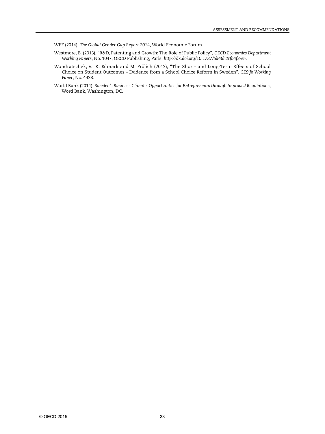WEF (2014), *The Global Gender Gap Report 2014*, World Economic Forum.

- Westmore, B. (2013), "R&D, Patenting and Growth: The Role of Public Policy", *OECD Economics Department Working Papers*, No. 1047, OECD Publishing, Paris, *<http://dx.doi.org/10.1787/5k46h2rfb4f3-en>*.
- Wondratschek, V., K. Edmark and M. Frölich (2013), "The Short- and Long-Term Effects of School Choice on Student Outcomes – Evidence from a School Choice Reform in Sweden", *CESifo Working Paper*, No. 4438.
- World Bank (2014), *Sweden's Business Climate, Opportunities for Entrepreneurs through Improved Regulations*, Word Bank, Washington, DC.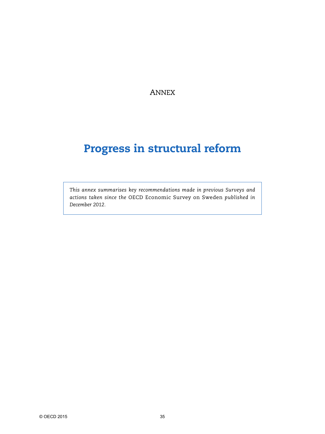ANNEX

# **Progress in structural reform**

*This annex summarises key recommendations made in previous Surveys and actions taken since the* OECD Economic Survey on Sweden *published in December 2012.*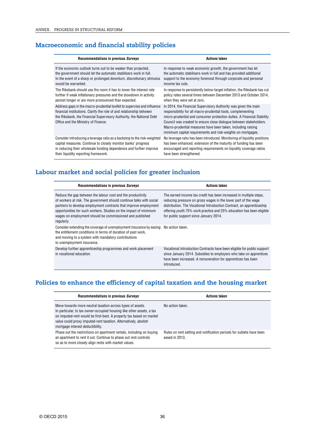# **Macroeconomic and financial stability policies**

| <b>Recommendations in previous Surveys</b>                                                                                                                                                                                                                     | <b>Actions taken</b>                                                                                                                                                                                                                                                                                                                                                                                           |
|----------------------------------------------------------------------------------------------------------------------------------------------------------------------------------------------------------------------------------------------------------------|----------------------------------------------------------------------------------------------------------------------------------------------------------------------------------------------------------------------------------------------------------------------------------------------------------------------------------------------------------------------------------------------------------------|
| If the economic outlook turns out to be weaker than projected.<br>the government should let the automatic stabilisers work in full.<br>In the event of a sharp or prolonged downturn, discretionary stimulus<br>would be warranted.                            | In response to weak economic growth, the government has let<br>the automatic stabilisers work in full and has provided additional<br>support to the economy foremost through corporate and personal<br>income tax cuts.                                                                                                                                                                                        |
| The Riksbank should use the room it has to lower the interest rate<br>further if weak inflationary pressures and the slowdown in activity<br>persist longer or are more pronounced than expected.                                                              | In response to persistently below-target inflation, the Riksbank has cut<br>policy rates several times between December 2013 and October 2014,<br>when they were set at zero.                                                                                                                                                                                                                                  |
| Address gaps in the macro-prudential toolkit to supervise and influence<br>financial institutions. Clarify the role of and relationship between<br>the Riksbank, the Financial Supervisory Authority, the National Debt<br>Office and the Ministry of Finance. | In 2014, the Financial Supervisory Authority was given the main<br>responsibility for all macro-prudential tools, complementing<br>micro-prudential and consumer protection duties. A Financial Stability<br>Council was created to ensure close dialogue between stakeholders.<br>Macro-prudential measures have been taken, including raising<br>minimum capital requirements and risk-weights on mortgages. |
| Consider introducing a leverage ratio as a backstop to the risk-weighted<br>capital measures. Continue to closely monitor banks' progress<br>in reducing their wholesale funding dependence and further improve<br>their liquidity reporting framework.        | No leverage ratio has been introduced. Monitoring of liquidity positions<br>has been enhanced, extension of the maturity of funding has been<br>encouraged and reporting requirements on liquidity coverage ratios<br>have been strengthened.                                                                                                                                                                  |
|                                                                                                                                                                                                                                                                |                                                                                                                                                                                                                                                                                                                                                                                                                |

# **Labour market and social policies for greater inclusion**

| Recommendations in previous Surveys                                                                                                                                                                                                                                                                                                                   | <b>Actions taken</b>                                                                                                                                                                                                                                                                                                            |
|-------------------------------------------------------------------------------------------------------------------------------------------------------------------------------------------------------------------------------------------------------------------------------------------------------------------------------------------------------|---------------------------------------------------------------------------------------------------------------------------------------------------------------------------------------------------------------------------------------------------------------------------------------------------------------------------------|
| Reduce the gap between the labour cost and the productivity<br>of workers at risk. The government should continue talks with social<br>partners to develop employment contracts that improve employment<br>opportunities for such workers. Studies on the impact of minimum<br>wages on employment should be commissioned and published<br>regularly. | The earned income tax credit has been increased in multiple steps,<br>reducing pressure on gross wages in the lower part of the wage<br>distribution. The Vocational Introduction Contract, an apprenticeship<br>offering youth 75% work practice and 25% education has been eligible<br>for public support since January 2014. |
| Consider extending the coverage of unemployment insurance by easing<br>the entitlement conditions in terms of duration of past work,<br>and moving to a system with mandatory contributions<br>to unemployment insurance.                                                                                                                             | No action taken.                                                                                                                                                                                                                                                                                                                |
| Develop further apprenticeship programmes and work placement<br>in vocational education.                                                                                                                                                                                                                                                              | Vocational Introduction Contracts have been eligible for public support<br>since January 2014. Subsidies to employers who take on apprentices<br>have been increased. A remuneration for apprentices has been<br>introduced.                                                                                                    |

# **Policies to enhance the efficiency of capital taxation and the housing market**

| Recommendations in previous Surveys                                                                                                                                                                                                                                                                               | <b>Actions taken</b>                                                                   |
|-------------------------------------------------------------------------------------------------------------------------------------------------------------------------------------------------------------------------------------------------------------------------------------------------------------------|----------------------------------------------------------------------------------------|
| Move towards more neutral taxation across types of assets.<br>In particular, to tax owner-occupied housing like other assets, a tax<br>on imputed-rent would be first-best. A property tax based on market<br>value could proxy imputed-rent taxation. Alternatively, abolish<br>mortgage interest deductibility. | No action taken.                                                                       |
| Phase out the restrictions on apartment rentals, including on buying<br>an apartment to rent it out. Continue to phase out rent controls<br>so as to more closely align rents with market values.                                                                                                                 | Rules on rent setting and notification periods for sublets have been<br>eased in 2013. |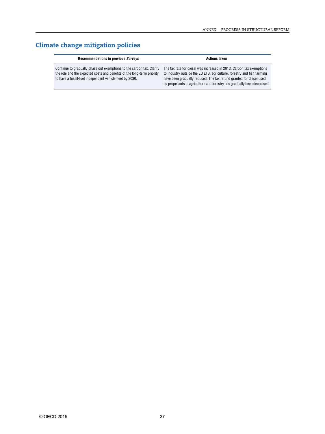# **Climate change mitigation policies**

| Recommendations in previous Surveys                                                                                                                                                                         | Actions taken                                                                                                                                                                                                                                                                                     |  |  |
|-------------------------------------------------------------------------------------------------------------------------------------------------------------------------------------------------------------|---------------------------------------------------------------------------------------------------------------------------------------------------------------------------------------------------------------------------------------------------------------------------------------------------|--|--|
| Continue to gradually phase out exemptions to the carbon tax. Clarify<br>the role and the expected costs and benefits of the long-term priority<br>to have a fossil-fuel independent vehicle fleet by 2030. | The tax rate for diesel was increased in 2013. Carbon tax exemptions<br>to industry outside the EU ETS, agriculture, forestry and fish farming<br>have been gradually reduced. The tax refund granted for diesel used<br>as propellants in agriculture and forestry has gradually been decreased. |  |  |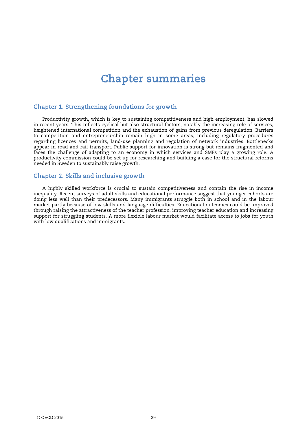# Chapter summaries

# Chapter 1. Strengthening foundations for growth

Productivity growth, which is key to sustaining competitiveness and high employment, has slowed in recent years. This reflects cyclical but also structural factors, notably the increasing role of services, heightened international competition and the exhaustion of gains from previous deregulation. Barriers to competition and entrepreneurship remain high in some areas, including regulatory procedures regarding licences and permits, land-use planning and regulation of network industries. Bottlenecks appear in road and rail transport. Public support for innovation is strong but remains fragmented and faces the challenge of adapting to an economy in which services and SMEs play a growing role. A productivity commission could be set up for researching and building a case for the structural reforms needed in Sweden to sustainably raise growth.

## Chapter 2. Skills and inclusive growth

A highly skilled workforce is crucial to sustain competitiveness and contain the rise in income inequality. Recent surveys of adult skills and educational performance suggest that younger cohorts are doing less well than their predecessors. Many immigrants struggle both in school and in the labour market partly because of low skills and language difficulties. Educational outcomes could be improved through raising the attractiveness of the teacher profession, improving teacher education and increasing support for struggling students. A more flexible labour market would facilitate access to jobs for youth with low qualifications and immigrants.